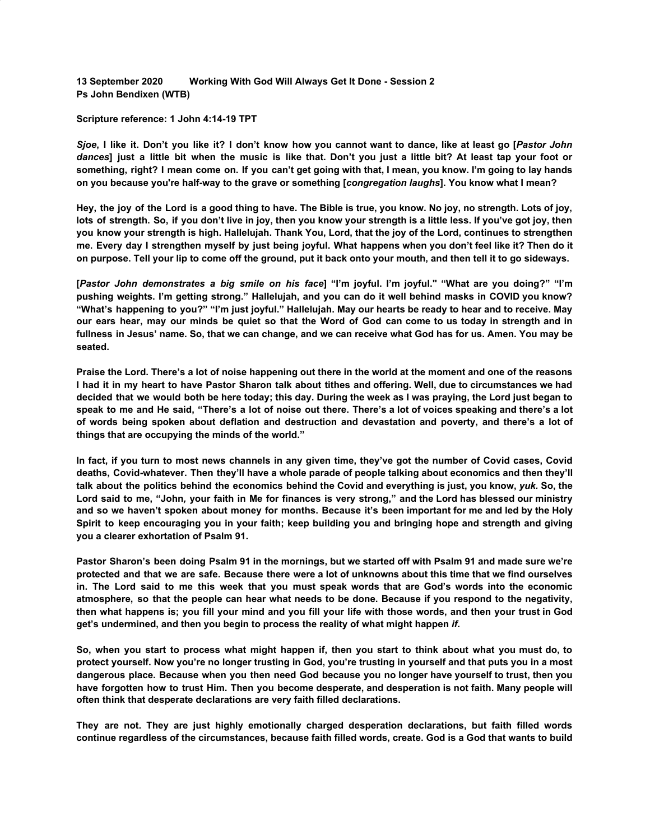**13 September 2020 Working With God Will Always Get It Done - Session 2 Ps John Bendixen (WTB)**

## **Scripture reference: 1 John 4:14-19 TPT**

Sjoe, I like it. Don't you like it? I don't know how you cannot want to dance, like at least go [Pastor John dances] just a little bit when the music is like that. Don't you just a little bit? At least tap your foot or something, right? I mean come on. If you can't get going with that, I mean, you know. I'm going to lay hands **on you because you're half-way to the grave or something [***congregation laughs***]. You know what I mean?**

Hey, the joy of the Lord is a good thing to have. The Bible is true, you know. No joy, no strength. Lots of joy, lots of strength. So, if you don't live in joy, then you know your strength is a little less. If you've got joy, then you know your strength is high. Hallelujah. Thank You, Lord, that the joy of the Lord, continues to strengthen me. Every day I strengthen myself by just being joyful. What happens when you don't feel like it? Then do it **on purpose. Tell your lip to come off the ground, put it back onto your mouth, and then tell it to go sideways.**

[Pastor John demonstrates a big smile on his face] "I'm joyful. I'm joyful." "What are you doing?" "I'm pushing weights. I'm getting strong." Hallelujah, and you can do it well behind masks in COVID you know? "What's happening to you?" "I'm just joyful." Hallelujah. May our hearts be ready to hear and to receive. May our ears hear, may our minds be quiet so that the Word of God can come to us today in strength and in fullness in Jesus' name. So, that we can change, and we can receive what God has for us. Amen. You may be **seated.**

Praise the Lord. There's a lot of noise happening out there in the world at the moment and one of the reasons I had it in my heart to have Pastor Sharon talk about tithes and offering. Well, due to circumstances we had decided that we would both be here today; this day. During the week as I was praying, the Lord just began to speak to me and He said, "There's a lot of noise out there. There's a lot of voices speaking and there's a lot **of words being spoken about deflation and destruction and devastation and poverty, and there's a lot of things that are occupying the minds of the world."**

In fact, if you turn to most news channels in any given time, they've got the number of Covid cases, Covid **deaths, Covid-whatever. Then they'll have a whole parade of people talking about economics and then they'll** talk about the politics behind the economics behind the Covid and everything is just, you know, yuk. So, the Lord said to me, "John, your faith in Me for finances is very strong," and the Lord has blessed our ministry and so we haven't spoken about money for months. Because it's been important for me and led by the Holy Spirit to keep encouraging you in your faith; keep building you and bringing hope and strength and giving **you a clearer exhortation of Psalm 91.**

Pastor Sharon's been doing Psalm 91 in the mornings, but we started off with Psalm 91 and made sure we're protected and that we are safe. Because there were a lot of unknowns about this time that we find ourselves in. The Lord said to me this week that you must speak words that are God's words into the economic atmosphere, so that the people can hear what needs to be done. Because if you respond to the negativity, then what happens is; you fill your mind and you fill your life with those words, and then your trust in God **get's undermined, and then you begin to process the reality of what might happen** *if***.**

So, when you start to process what might happen if, then you start to think about what you must do, to protect yourself. Now you're no longer trusting in God, you're trusting in yourself and that puts you in a most dangerous place. Because when you then need God because you no longer have yourself to trust, then you have forgotten how to trust Him. Then you become desperate, and desperation is not faith. Many people will **often think that desperate declarations are very faith filled declarations.**

**They are not. They are just highly emotionally charged desperation declarations, but faith filled words** continue regardless of the circumstances, because faith filled words, create. God is a God that wants to build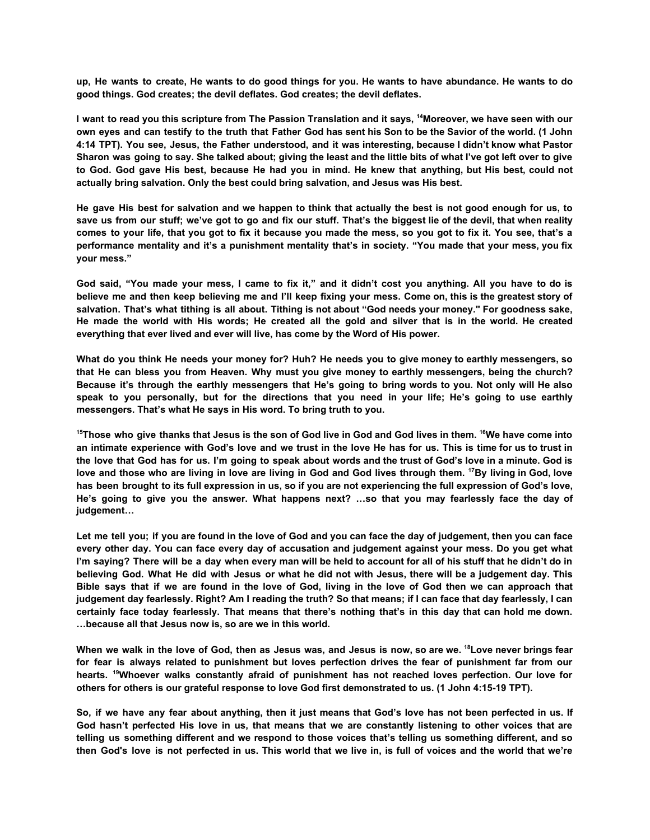up, He wants to create, He wants to do good things for you. He wants to have abundance. He wants to do **good things. God creates; the devil deflates. God creates; the devil deflates.**

I want to read you this scripture from The Passion Translation and it says, <sup>14</sup>Moreover, we have seen with our own eyes and can testify to the truth that Father God has sent his Son to be the Savior of the world. (1 John 4:14 TPT). You see, Jesus, the Father understood, and it was interesting, because I didn't know what Pastor Sharon was going to say. She talked about; giving the least and the little bits of what I've got left over to give to God. God gave His best, because He had you in mind. He knew that anything, but His best, could not **actually bring salvation. Only the best could bring salvation, and Jesus was His best.**

He gave His best for salvation and we happen to think that actually the best is not good enough for us, to save us from our stuff; we've got to go and fix our stuff. That's the biggest lie of the devil, that when reality comes to your life, that you got to fix it because you made the mess, so you got to fix it. You see, that's a performance mentality and it's a punishment mentality that's in society. "You made that your mess, you fix **your mess."**

God said, "You made your mess, I came to fix it," and it didn't cost you anything. All you have to do is believe me and then keep believing me and I'll keep fixing your mess. Come on, this is the greatest story of salvation. That's what tithing is all about. Tithing is not about "God needs your money." For goodness sake, He made the world with His words; He created all the gold and silver that is in the world. He created **everything that ever lived and ever will live, has come by the Word of His power.**

What do you think He needs your money for? Huh? He needs you to give money to earthly messengers, so that He can bless you from Heaven. Why must you give money to earthly messengers, being the church? Because it's through the earthly messengers that He's going to bring words to you. Not only will He also speak to you personally, but for the directions that you need in your life; He's going to use earthly **messengers. That's what He says in His word. To bring truth to you.**

<sup>15</sup>Those who give thanks that Jesus is the son of God live in God and God lives in them. <sup>16</sup>We have come into an intimate experience with God's love and we trust in the love He has for us. This is time for us to trust in the love that God has for us. I'm going to speak about words and the trust of God's love in a minute. God is love and those who are living in love are living in God and God lives through them. <sup>17</sup>By living in God, love has been brought to its full expression in us, so if you are not experiencing the full expression of God's love, He's going to give you the answer. What happens next? ...so that you may fearlessly face the day of **judgement…**

Let me tell you; if you are found in the love of God and you can face the day of judgement, then you can face every other day. You can face every day of accusation and judgement against your mess. Do you get what I'm saying? There will be a day when every man will be held to account for all of his stuff that he didn't do in believing God. What He did with Jesus or what he did not with Jesus, there will be a judgement day. This Bible says that if we are found in the love of God, living in the love of God then we can approach that judgement day fearlessly. Right? Am I reading the truth? So that means; if I can face that day fearlessly, I can certainly face today fearlessly. That means that there's nothing that's in this day that can hold me down. **…because all that Jesus now is, so are we in this world.**

When we walk in the love of God, then as Jesus was, and Jesus is now, so are we, <sup>18</sup> Love never brings fear for fear is always related to punishment but loves perfection drives the fear of punishment far from our **hearts. <sup>19</sup>Whoever walks constantly afraid of punishment has not reached loves perfection. Our love for others for others is our grateful response to love God first demonstrated to us. (1 John 4:15-19 TPT).**

So, if we have any fear about anything, then it just means that God's love has not been perfected in us. If God hasn't perfected His love in us, that means that we are constantly listening to other voices that are telling us something different and we respond to those voices that's telling us something different, and so then God's love is not perfected in us. This world that we live in, is full of voices and the world that we're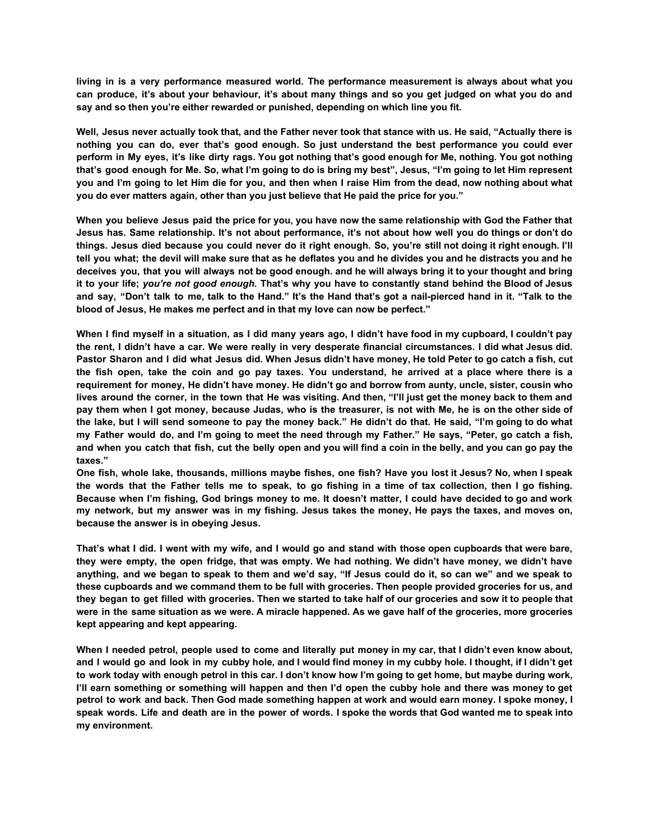**living in is a very performance measured world. The performance measurement is always about what you** can produce, it's about your behaviour, it's about many things and so you get judged on what you do and **say and so then you're either rewarded or punished, depending on which line you fit.**

Well, Jesus never actually took that, and the Father never took that stance with us. He said, "Actually there is **nothing you can do, ever that's good enough. So just understand the best performance you could ever** perform in My eyes, it's like dirty rags. You got nothing that's good enough for Me, nothing. You got nothing that's good enough for Me. So, what I'm going to do is bring my best", Jesus, "I'm going to let Him represent you and I'm going to let Him die for you, and then when I raise Him from the dead, now nothing about what **you do ever matters again, other than you just believe that He paid the price for you."**

When you believe Jesus paid the price for you, you have now the same relationship with God the Father that Jesus has. Same relationship. It's not about performance, it's not about how well you do things or don't do things. Jesus died because you could never do it right enough. So, you're still not doing it right enough. I'll tell you what; the devil will make sure that as he deflates you and he divides you and he distracts you and he deceives you, that you will always not be good enough. and he will always bring it to your thought and bring it to your life; you're not good enough. That's why you have to constantly stand behind the Blood of Jesus and say, "Don't talk to me, talk to the Hand." It's the Hand that's got a nail-pierced hand in it. "Talk to the **blood of Jesus, He makes me perfect and in that my love can now be perfect."**

When I find myself in a situation, as I did many years ago, I didn't have food in my cupboard, I couldn't pay the rent, I didn't have a car. We were really in very desperate financial circumstances. I did what Jesus did. Pastor Sharon and I did what Jesus did. When Jesus didn't have money, He told Peter to go catch a fish, cut the fish open, take the coin and go pay taxes. You understand, he arrived at a place where there is a requirement for money, He didn't have money. He didn't go and borrow from aunty, uncle, sister, cousin who lives around the corner, in the town that He was visiting. And then, "I'll just get the money back to them and pay them when I got money, because Judas, who is the treasurer, is not with Me, he is on the other side of the lake, but I will send someone to pay the money back." He didn't do that. He said, "I'm going to do what my Father would do, and I'm going to meet the need through my Father." He says, "Peter, go catch a fish, and when you catch that fish, cut the belly open and you will find a coin in the belly, and you can go pay the **taxes."**

One fish, whole lake, thousands, millions maybe fishes, one fish? Have you lost it Jesus? No, when I speak the words that the Father tells me to speak, to go fishing in a time of tax collection, then I go fishing. Because when I'm fishing. God brings money to me, It doesn't matter. I could have decided to go and work my network, but my answer was in my fishing. Jesus takes the money, He pays the taxes, and moves on, **because the answer is in obeying Jesus.**

That's what I did. I went with my wife, and I would go and stand with those open cupboards that were bare, they were empty, the open fridge, that was empty. We had nothing. We didn't have money, we didn't have anything, and we began to speak to them and we'd say, "If Jesus could do it, so can we" and we speak to these cupboards and we command them to be full with groceries. Then people provided groceries for us, and they began to get filled with groceries. Then we started to take half of our groceries and sow it to people that were in the same situation as we were. A miracle happened. As we gave half of the groceries, more groceries **kept appearing and kept appearing.**

When I needed petrol, people used to come and literally put money in my car, that I didn't even know about, and I would go and look in my cubby hole, and I would find money in my cubby hole. I thought, if I didn't get to work today with enough petrol in this car. I don't know how I'm going to get home, but maybe during work, I'll earn something or something will happen and then I'd open the cubby hole and there was money to get petrol to work and back. Then God made something happen at work and would earn money. I spoke money, I speak words. Life and death are in the power of words. I spoke the words that God wanted me to speak into **my environment.**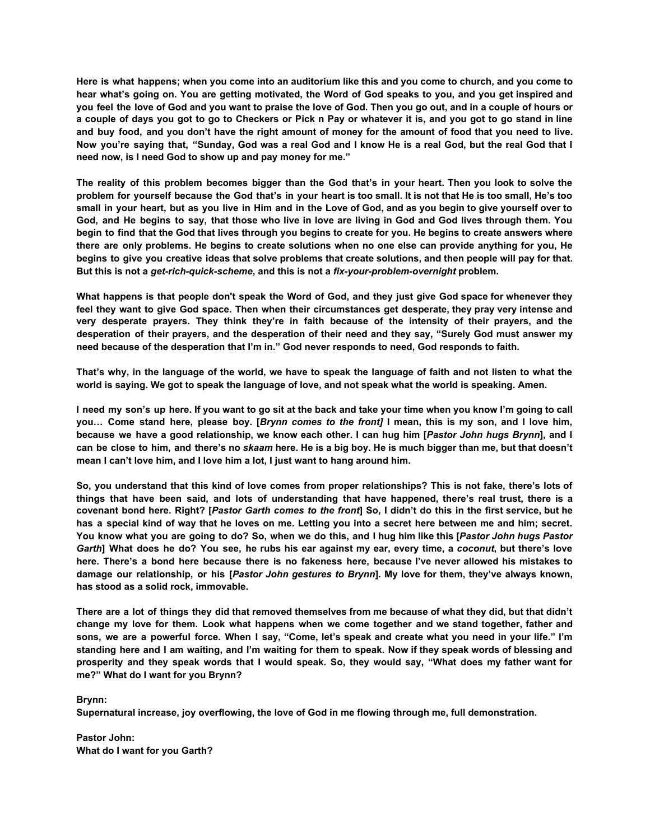Here is what happens; when you come into an auditorium like this and you come to church, and you come to hear what's going on. You are getting motivated, the Word of God speaks to you, and you get inspired and vou feel the love of God and you want to praise the love of God. Then you go out, and in a couple of hours or a couple of days you got to go to Checkers or Pick n Pay or whatever it is, and you got to go stand in line and buy food, and you don't have the right amount of money for the amount of food that you need to live. Now you're saying that, "Sunday, God was a real God and I know He is a real God, but the real God that I **need now, is I need God to show up and pay money for me."**

The reality of this problem becomes bigger than the God that's in your heart. Then you look to solve the problem for yourself because the God that's in your heart is too small. It is not that He is too small, He's too small in your heart, but as you live in Him and in the Love of God, and as you begin to give yourself over to God, and He begins to say, that those who live in love are living in God and God lives through them. You begin to find that the God that lives through you begins to create for you. He begins to create answers where there are only problems. He begins to create solutions when no one else can provide anything for you, He begins to give you creative ideas that solve problems that create solutions, and then people will pay for that. **But this is not a** *get-rich-quick-scheme***, and this is not a** *fix-your-problem-overnight* **problem.**

What happens is that people don't speak the Word of God, and they just give God space for whenever they feel they want to give God space. Then when their circumstances get desperate, they pray very intense and **very desperate prayers. They think they're in faith because of the intensity of their prayers, and the** desperation of their prayers, and the desperation of their need and they say, "Surely God must answer my **need because of the desperation that I'm in." God never responds to need, God responds to faith.**

That's why, in the language of the world, we have to speak the language of faith and not listen to what the **world is saying. We got to speak the language of love, and not speak what the world is speaking. Amen.**

I need my son's up here. If you want to go sit at the back and take your time when you know I'm going to call you... Come stand here, please boy. [Brynn comes to the front] I mean, this is my son, and I love him, because we have a good relationship, we know each other. I can hug him [Pastor John hugs Brynn], and I can be close to him, and there's no skaam here. He is a big boy. He is much bigger than me, but that doesn't **mean I can't love him, and I love him a lot, I just want to hang around him.**

So, you understand that this kind of love comes from proper relationships? This is not fake, there's lots of things that have been said, and lots of understanding that have happened, there's real trust, there is a covenant bond here. Right? [Pastor Garth comes to the front] So, I didn't do this in the first service, but he has a special kind of way that he loves on me. Letting you into a secret here between me and him; secret. You know what you are going to do? So, when we do this, and I hug him like this [Pastor John hugs Pastor Garth] What does he do? You see, he rubs his ear against my ear, every time, a coconut, but there's love here. There's a bond here because there is no fakeness here, because I've never allowed his mistakes to damage our relationship, or his [Pastor John gestures to Brynn]. My love for them, they've always known, **has stood as a solid rock, immovable.**

There are a lot of things they did that removed themselves from me because of what they did, but that didn't **change my love for them. Look what happens when we come together and we stand together, father and** sons, we are a powerful force. When I say, "Come, let's speak and create what you need in your life." I'm standing here and I am waiting, and I'm waiting for them to speak. Now if they speak words of blessing and prosperity and they speak words that I would speak. So, they would say, "What does my father want for **me?" What do I want for you Brynn?**

**Brynn:**

**Supernatural increase, joy overflowing, the love of God in me flowing through me, full demonstration.**

**Pastor John: What do I want for you Garth?**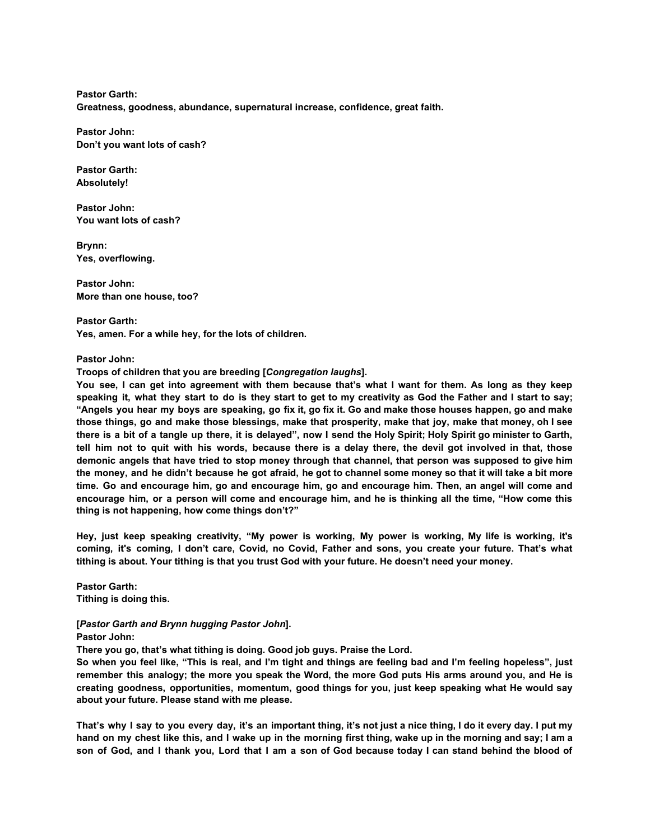**Pastor Garth: Greatness, goodness, abundance, supernatural increase, confidence, great faith.**

**Pastor John: Don't you want lots of cash?**

**Pastor Garth: Absolutely!**

**Pastor John: You want lots of cash?**

**Brynn: Yes, overflowing.**

**Pastor John: More than one house, too?**

**Pastor Garth: Yes, amen. For a while hey, for the lots of children.**

**Pastor John:**

**Troops of children that you are breeding [***Congregation laughs***].**

You see, I can get into agreement with them because that's what I want for them. As long as they keep speaking it, what they start to do is they start to get to my creativity as God the Father and I start to say; "Angels you hear my boys are speaking, go fix it, go fix it. Go and make those houses happen, go and make those things, go and make those blessings, make that prosperity, make that joy, make that money, oh I see there is a bit of a tangle up there, it is delayed", now I send the Holy Spirit; Holy Spirit go minister to Garth, tell him not to quit with his words, because there is a delay there, the devil got involved in that, those demonic angels that have tried to stop money through that channel, that person was supposed to give him the money, and he didn't because he got afraid, he got to channel some money so that it will take a bit more time. Go and encourage him, go and encourage him, go and encourage him. Then, an angel will come and encourage him, or a person will come and encourage him, and he is thinking all the time. "How come this **thing is not happening, how come things don't?"**

Hey, just keep speaking creativity, "My power is working, My power is working, My life is working, it's coming, it's coming, I don't care, Covid, no Covid, Father and sons, you create your future. That's what **tithing is about. Your tithing is that you trust God with your future. He doesn't need your money.**

**Pastor Garth: Tithing is doing this.**

## **[***Pastor Garth and Brynn hugging Pastor John***]. Pastor John:**

**There you go, that's what tithing is doing. Good job guys. Praise the Lord.**

So when you feel like, "This is real, and I'm tight and things are feeling bad and I'm feeling hopeless", just remember this analogy; the more you speak the Word, the more God puts His arms around you, and He is **creating goodness, opportunities, momentum, good things for you, just keep speaking what He would say about your future. Please stand with me please.**

That's why I say to you every day, it's an important thing, it's not just a nice thing, I do it every day. I put my hand on my chest like this, and I wake up in the morning first thing, wake up in the morning and say; I am a son of God, and I thank you, Lord that I am a son of God because today I can stand behind the blood of